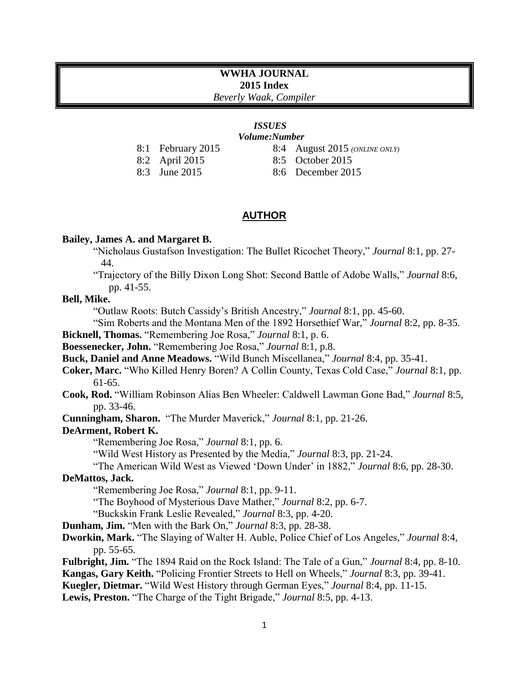# **WWHA JOURNAL 2015 Index**

*Beverly Waak, Compiler*

#### *ISSUES Volume:Number*

- 8:1 February 2015
- 8:2 April 2015
- 8:3 June 2015
- 8:4 August 2015 *(ONLINE ONLY)*
- 8:5 October 2015
- 8:6 December 2015

# **AUTHOR**

## **Bailey, James A. and Margaret B.**

"Nicholaus Gustafson Investigation: The Bullet Ricochet Theory," *Journal* 8:1, pp. 27- 44.

"Trajectory of the Billy Dixon Long Shot: Second Battle of Adobe Walls," *Journal* 8:6, pp. 41-55.

# **Bell, Mike.**

"Outlaw Roots: Butch Cassidy's British Ancestry," *Journal* 8:1, pp. 45-60.

"Sim Roberts and the Montana Men of the 1892 Horsethief War," *Journal* 8:2, pp. 8-35.

**Bicknell, Thomas.** "Remembering Joe Rosa," *Journal* 8:1, p. 6.

**Boessenecker, John.** "Remembering Joe Rosa," *Journal* 8:1, p.8.

**Buck, Daniel and Anne Meadows.** "Wild Bunch Miscellanea," *Journal* 8:4, pp. 35-41.

**Coker, Marc.** "Who Killed Henry Boren? A Collin County, Texas Cold Case," *Journal* 8:1, pp. 61-65.

**Cook, Rod.** "William Robinson Alias Ben Wheeler: Caldwell Lawman Gone Bad," *Journal* 8:5, pp. 33-46.

**Cunningham, Sharon.** "The Murder Maverick," *Journal* 8:1, pp. 21-26.

#### **DeArment, Robert K.**

"Remembering Joe Rosa," *Journal* 8:1, pp. 6.

"Wild West History as Presented by the Media," *Journal* 8:3, pp. 21-24.

"The American Wild West as Viewed 'Down Under' in 1882," *Journal* 8:6, pp. 28-30.

## **DeMattos, Jack.**

"Remembering Joe Rosa," *Journal* 8:1, pp. 9-11.

"The Boyhood of Mysterious Dave Mather," *Journal* 8:2, pp. 6-7.

"Buckskin Frank Leslie Revealed," *Journal* 8:3, pp. 4-20.

**Dunham, Jim.** "Men with the Bark On," *Journal* 8:3, pp. 28-38.

**Dworkin, Mark.** "The Slaying of Walter H. Auble, Police Chief of Los Angeles," *Journal* 8:4, pp. 55-65.

**Fulbright, Jim.** "The 1894 Raid on the Rock Island: The Tale of a Gun," *Journal* 8:4, pp. 8-10. **Kangas, Gary Keith.** "Policing Frontier Streets to Hell on Wheels," *Journal* 8:3, pp. 39-41.

**Kuegler, Dietmar.** "Wild West History through German Eyes," *Journal* 8:4, pp. 11-15.

**Lewis, Preston.** "The Charge of the Tight Brigade," *Journal* 8:5, pp. 4-13.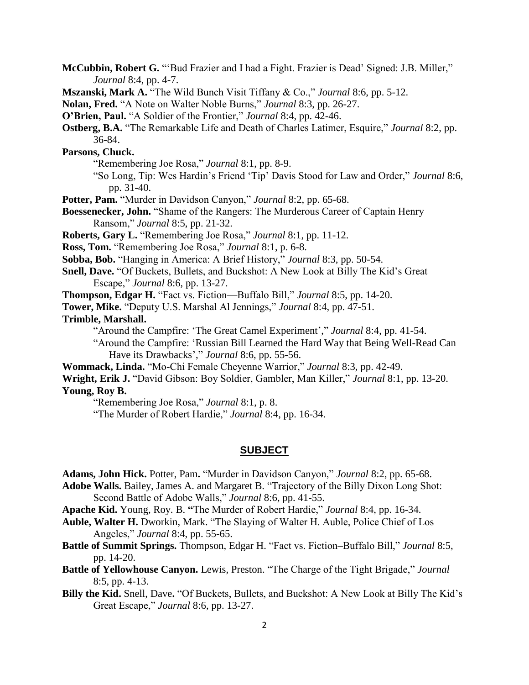**McCubbin, Robert G.** "'Bud Frazier and I had a Fight. Frazier is Dead' Signed: J.B. Miller," *Journal* 8:4, pp. 4-7.

**Mszanski, Mark A.** "The Wild Bunch Visit Tiffany & Co.," *Journal* 8:6, pp. 5-12.

**Nolan, Fred.** "A Note on Walter Noble Burns," *Journal* 8:3, pp. 26-27.

**O'Brien, Paul.** "A Soldier of the Frontier," *Journal* 8:4, pp. 42-46.

**Ostberg, B.A.** "The Remarkable Life and Death of Charles Latimer, Esquire," *Journal* 8:2, pp. 36-84.

**Parsons, Chuck.**

"Remembering Joe Rosa," *Journal* 8:1, pp. 8-9.

"So Long, Tip: Wes Hardin's Friend 'Tip' Davis Stood for Law and Order," *Journal* 8:6, pp. 31-40.

**Potter, Pam.** "Murder in Davidson Canyon," *Journal* 8:2, pp. 65-68.

**Boessenecker, John.** "Shame of the Rangers: The Murderous Career of Captain Henry Ransom," *Journal* 8:5, pp. 21-32.

**Roberts, Gary L.** "Remembering Joe Rosa," *Journal* 8:1, pp. 11-12.

**Ross, Tom.** "Remembering Joe Rosa," *Journal* 8:1, p. 6-8.

**Sobba, Bob.** "Hanging in America: A Brief History," *Journal* 8:3, pp. 50-54.

**Snell, Dave.** "Of Buckets, Bullets, and Buckshot: A New Look at Billy The Kid's Great Escape," *Journal* 8:6, pp. 13-27.

**Thompson, Edgar H.** "Fact vs. Fiction—Buffalo Bill," *Journal* 8:5, pp. 14-20.

**Tower, Mike.** "Deputy U.S. Marshal Al Jennings," *Journal* 8:4, pp. 47-51.

**Trimble, Marshall.** 

"Around the Campfire: 'The Great Camel Experiment'," *Journal* 8:4, pp. 41-54.

"Around the Campfire: 'Russian Bill Learned the Hard Way that Being Well-Read Can Have its Drawbacks'," *Journal* 8:6, pp. 55-56.

**Wommack, Linda.** "Mo-Chi Female Cheyenne Warrior," *Journal* 8:3, pp. 42-49.

**Wright, Erik J.** "David Gibson: Boy Soldier, Gambler, Man Killer," *Journal* 8:1, pp. 13-20. **Young, Roy B.**

"Remembering Joe Rosa," *Journal* 8:1, p. 8.

"The Murder of Robert Hardie," *Journal* 8:4, pp. 16-34.

#### **SUBJECT**

**Adams, John Hick.** Potter, Pam**.** "Murder in Davidson Canyon," *Journal* 8:2, pp. 65-68.

**Adobe Walls.** Bailey, James A. and Margaret B. "Trajectory of the Billy Dixon Long Shot: Second Battle of Adobe Walls," *Journal* 8:6, pp. 41-55.

**Apache Kid.** Young, Roy. B. **"**The Murder of Robert Hardie," *Journal* 8:4, pp. 16-34.

- **Auble, Walter H.** Dworkin, Mark. "The Slaying of Walter H. Auble, Police Chief of Los Angeles," *Journal* 8:4, pp. 55-65.
- **Battle of Summit Springs.** Thompson, Edgar H. "Fact vs. Fiction–Buffalo Bill," *Journal* 8:5, pp. 14-20.
- **Battle of Yellowhouse Canyon.** Lewis, Preston. "The Charge of the Tight Brigade," *Journal*  8:5, pp. 4-13.

**Billy the Kid.** Snell, Dave**.** "Of Buckets, Bullets, and Buckshot: A New Look at Billy The Kid's Great Escape," *Journal* 8:6, pp. 13-27.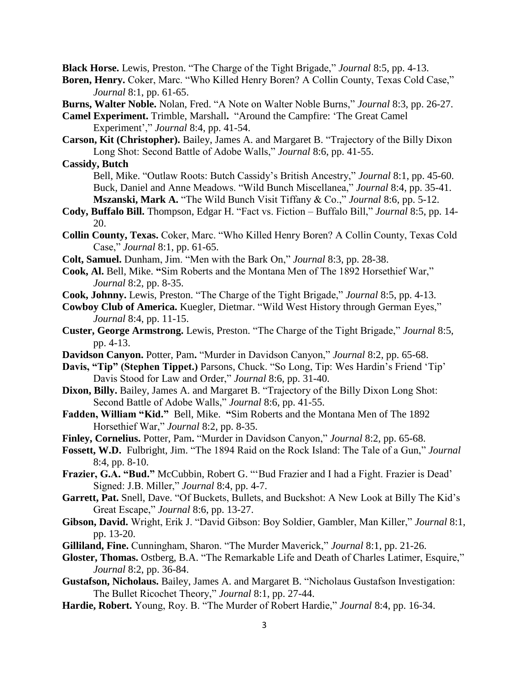**Black Horse.** Lewis, Preston. "The Charge of the Tight Brigade," *Journal* 8:5, pp. 4-13.

- **Boren, Henry.** Coker, Marc. "Who Killed Henry Boren? A Collin County, Texas Cold Case," *Journal* 8:1, pp. 61-65.
- **Burns, Walter Noble.** Nolan, Fred. "A Note on Walter Noble Burns," *Journal* 8:3, pp. 26-27.
- **Camel Experiment.** Trimble, Marshall**.** "Around the Campfire: 'The Great Camel Experiment'," *Journal* 8:4, pp. 41-54.
- **Carson, Kit (Christopher).** Bailey, James A. and Margaret B. "Trajectory of the Billy Dixon Long Shot: Second Battle of Adobe Walls," *Journal* 8:6, pp. 41-55.

**Cassidy, Butch**

- Bell, Mike. "Outlaw Roots: Butch Cassidy's British Ancestry," *Journal* 8:1, pp. 45-60. Buck, Daniel and Anne Meadows. "Wild Bunch Miscellanea," *Journal* 8:4, pp. 35-41. **Mszanski, Mark A.** "The Wild Bunch Visit Tiffany & Co.," *Journal* 8:6, pp. 5-12.
- **Cody, Buffalo Bill.** Thompson, Edgar H. "Fact vs. Fiction Buffalo Bill," *Journal* 8:5, pp. 14- 20.
- **Collin County, Texas.** Coker, Marc. "Who Killed Henry Boren? A Collin County, Texas Cold Case," *Journal* 8:1, pp. 61-65.
- **Colt, Samuel.** Dunham, Jim. "Men with the Bark On," *Journal* 8:3, pp. 28-38.
- **Cook, Al.** Bell, Mike. **"**Sim Roberts and the Montana Men of The 1892 Horsethief War," *Journal* 8:2, pp. 8-35.
- **Cook, Johnny.** Lewis, Preston. "The Charge of the Tight Brigade," *Journal* 8:5, pp. 4-13.
- **Cowboy Club of America.** Kuegler, Dietmar. "Wild West History through German Eyes," *Journal* 8:4, pp. 11-15.
- **Custer, George Armstrong.** Lewis, Preston. "The Charge of the Tight Brigade," *Journal* 8:5, pp. 4-13.
- **Davidson Canyon.** Potter, Pam**.** "Murder in Davidson Canyon," *Journal* 8:2, pp. 65-68.
- **Davis, "Tip" (Stephen Tippet.)** Parsons, Chuck. "So Long, Tip: Wes Hardin's Friend 'Tip' Davis Stood for Law and Order," *Journal* 8:6, pp. 31-40.
- **Dixon, Billy.** Bailey, James A. and Margaret B. "Trajectory of the Billy Dixon Long Shot: Second Battle of Adobe Walls," *Journal* 8:6, pp. 41-55.
- **Fadden, William "Kid."** Bell, Mike. **"**Sim Roberts and the Montana Men of The 1892 Horsethief War," *Journal* 8:2, pp. 8-35.
- **Finley, Cornelius.** Potter, Pam**.** "Murder in Davidson Canyon," *Journal* 8:2, pp. 65-68.
- **Fossett, W.D.** Fulbright, Jim. "The 1894 Raid on the Rock Island: The Tale of a Gun," *Journal*  8:4, pp. 8-10.
- **Frazier, G.A. "Bud."** McCubbin, Robert G. "'Bud Frazier and I had a Fight. Frazier is Dead' Signed: J.B. Miller," *Journal* 8:4, pp. 4-7.
- **Garrett, Pat.** Snell, Dave. "Of Buckets, Bullets, and Buckshot: A New Look at Billy The Kid's Great Escape," *Journal* 8:6, pp. 13-27.
- **Gibson, David.** Wright, Erik J. "David Gibson: Boy Soldier, Gambler, Man Killer," *Journal* 8:1, pp. 13-20.
- **Gilliland, Fine.** Cunningham, Sharon. "The Murder Maverick," *Journal* 8:1, pp. 21-26.
- **Gloster, Thomas.** Ostberg, B.A. "The Remarkable Life and Death of Charles Latimer, Esquire," *Journal* 8:2, pp. 36-84.
- **Gustafson, Nicholaus.** Bailey, James A. and Margaret B. "Nicholaus Gustafson Investigation: The Bullet Ricochet Theory," *Journal* 8:1, pp. 27-44.
- **Hardie, Robert.** Young, Roy. B. "The Murder of Robert Hardie," *Journal* 8:4, pp. 16-34.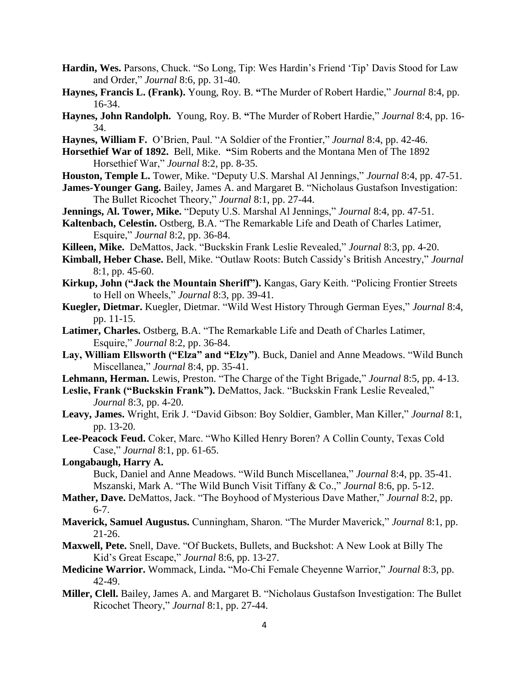- **Hardin, Wes.** Parsons, Chuck. "So Long, Tip: Wes Hardin's Friend 'Tip' Davis Stood for Law and Order," *Journal* 8:6, pp. 31-40.
- **Haynes, Francis L. (Frank).** Young, Roy. B. **"**The Murder of Robert Hardie," *Journal* 8:4, pp. 16-34.
- **Haynes, John Randolph.** Young, Roy. B. **"**The Murder of Robert Hardie," *Journal* 8:4, pp. 16- 34.
- **Haynes, William F.** O'Brien, Paul. "A Soldier of the Frontier," *Journal* 8:4, pp. 42-46.
- **Horsethief War of 1892.** Bell, Mike. **"**Sim Roberts and the Montana Men of The 1892 Horsethief War," *Journal* 8:2, pp. 8-35.
- **Houston, Temple L.** Tower, Mike. "Deputy U.S. Marshal Al Jennings," *Journal* 8:4, pp. 47-51.
- **James-Younger Gang.** Bailey, James A. and Margaret B. "Nicholaus Gustafson Investigation: The Bullet Ricochet Theory," *Journal* 8:1, pp. 27-44.
- **Jennings, Al. Tower, Mike.** "Deputy U.S. Marshal Al Jennings," *Journal* 8:4, pp. 47-51.
- **Kaltenbach, Celestin.** Ostberg, B.A. "The Remarkable Life and Death of Charles Latimer, Esquire," *Journal* 8:2, pp. 36-84.
- **Killeen, Mike.** DeMattos, Jack. "Buckskin Frank Leslie Revealed," *Journal* 8:3, pp. 4-20.
- **Kimball, Heber Chase.** Bell, Mike. "Outlaw Roots: Butch Cassidy's British Ancestry," *Journal*  8:1, pp. 45-60.
- **Kirkup, John ("Jack the Mountain Sheriff").** Kangas, Gary Keith. "Policing Frontier Streets to Hell on Wheels," *Journal* 8:3, pp. 39-41.
- **Kuegler, Dietmar.** Kuegler, Dietmar. "Wild West History Through German Eyes," *Journal* 8:4, pp. 11-15.
- **Latimer, Charles.** Ostberg, B.A. "The Remarkable Life and Death of Charles Latimer, Esquire," *Journal* 8:2, pp. 36-84.
- **Lay, William Ellsworth ("Elza" and "Elzy")**. Buck, Daniel and Anne Meadows. "Wild Bunch Miscellanea," *Journal* 8:4, pp. 35-41.
- **Lehmann, Herman.** Lewis, Preston. "The Charge of the Tight Brigade," *Journal* 8:5, pp. 4-13.
- **Leslie, Frank ("Buckskin Frank").** DeMattos, Jack. "Buckskin Frank Leslie Revealed," *Journal* 8:3, pp. 4-20.
- **Leavy, James.** Wright, Erik J. "David Gibson: Boy Soldier, Gambler, Man Killer," *Journal* 8:1, pp. 13-20.
- **Lee-Peacock Feud.** Coker, Marc. "Who Killed Henry Boren? A Collin County, Texas Cold Case," *Journal* 8:1, pp. 61-65.
- **Longabaugh, Harry A.**

Buck, Daniel and Anne Meadows. "Wild Bunch Miscellanea," *Journal* 8:4, pp. 35-41. Mszanski, Mark A. "The Wild Bunch Visit Tiffany & Co.," *Journal* 8:6, pp. 5-12.

- **Mather, Dave.** DeMattos, Jack. "The Boyhood of Mysterious Dave Mather," *Journal* 8:2, pp. 6-7.
- **Maverick, Samuel Augustus.** Cunningham, Sharon. "The Murder Maverick," *Journal* 8:1, pp. 21-26.
- **Maxwell, Pete.** Snell, Dave. "Of Buckets, Bullets, and Buckshot: A New Look at Billy The Kid's Great Escape," *Journal* 8:6, pp. 13-27.
- **Medicine Warrior.** Wommack, Linda**.** "Mo-Chi Female Cheyenne Warrior," *Journal* 8:3, pp. 42-49.
- **Miller, Clell.** Bailey, James A. and Margaret B. "Nicholaus Gustafson Investigation: The Bullet Ricochet Theory," *Journal* 8:1, pp. 27-44.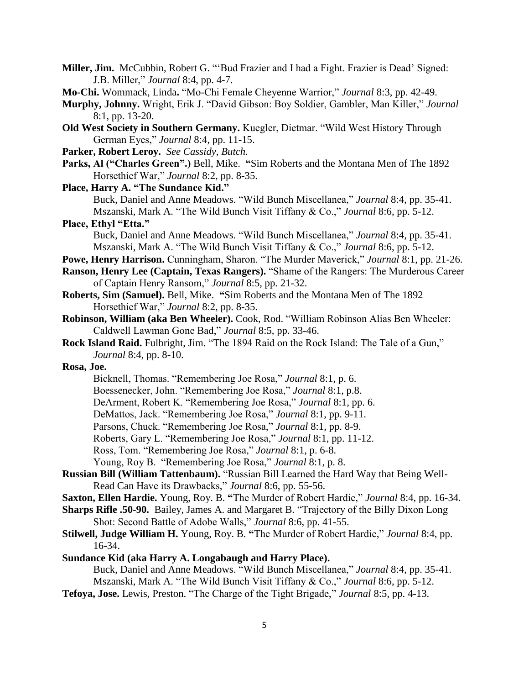- **Miller, Jim.** McCubbin, Robert G. "'Bud Frazier and I had a Fight. Frazier is Dead' Signed: J.B. Miller," *Journal* 8:4, pp. 4-7.
- **Mo-Chi.** Wommack, Linda**.** "Mo-Chi Female Cheyenne Warrior," *Journal* 8:3, pp. 42-49.
- **Murphy, Johnny.** Wright, Erik J. "David Gibson: Boy Soldier, Gambler, Man Killer," *Journal*  8:1, pp. 13-20.
- **Old West Society in Southern Germany.** Kuegler, Dietmar. "Wild West History Through German Eyes," *Journal* 8:4, pp. 11-15.
- **Parker, Robert Leroy.** *See Cassidy, Butch.*
- **Parks, Al ("Charles Green".)** Bell, Mike. **"**Sim Roberts and the Montana Men of The 1892 Horsethief War," *Journal* 8:2, pp. 8-35.
- **Place, Harry A. "The Sundance Kid."** Buck, Daniel and Anne Meadows. "Wild Bunch Miscellanea," *Journal* 8:4, pp. 35-41. Mszanski, Mark A. "The Wild Bunch Visit Tiffany & Co.," *Journal* 8:6, pp. 5-12.

## **Place, Ethyl "Etta."**

Buck, Daniel and Anne Meadows. "Wild Bunch Miscellanea," *Journal* 8:4, pp. 35-41. Mszanski, Mark A. "The Wild Bunch Visit Tiffany & Co.," *Journal* 8:6, pp. 5-12.

- **Powe, Henry Harrison.** Cunningham, Sharon. "The Murder Maverick," *Journal* 8:1, pp. 21-26.
- **Ranson, Henry Lee (Captain, Texas Rangers).** "Shame of the Rangers: The Murderous Career of Captain Henry Ransom," *Journal* 8:5, pp. 21-32.
- **Roberts, Sim (Samuel).** Bell, Mike. **"**Sim Roberts and the Montana Men of The 1892 Horsethief War," *Journal* 8:2, pp. 8-35.
- **Robinson, William (aka Ben Wheeler).** Cook, Rod. "William Robinson Alias Ben Wheeler: Caldwell Lawman Gone Bad," *Journal* 8:5, pp. 33-46.
- **Rock Island Raid.** Fulbright, Jim. "The 1894 Raid on the Rock Island: The Tale of a Gun," *Journal* 8:4, pp. 8-10.

**Rosa, Joe.** 

- Bicknell, Thomas. "Remembering Joe Rosa," *Journal* 8:1, p. 6.
- Boessenecker, John. "Remembering Joe Rosa," *Journal* 8:1, p.8.
- DeArment, Robert K. "Remembering Joe Rosa," *Journal* 8:1, pp. 6.
- DeMattos, Jack. "Remembering Joe Rosa," *Journal* 8:1, pp. 9-11.
- Parsons, Chuck. "Remembering Joe Rosa," *Journal* 8:1, pp. 8-9.
- Roberts, Gary L. "Remembering Joe Rosa," *Journal* 8:1, pp. 11-12.
- Ross, Tom. "Remembering Joe Rosa," *Journal* 8:1, p. 6-8.
- Young, Roy B. "Remembering Joe Rosa," *Journal* 8:1, p. 8.
- **Russian Bill (William Tattenbaum).** "Russian Bill Learned the Hard Way that Being Well-Read Can Have its Drawbacks," *Journal* 8:6, pp. 55-56.
- **Saxton, Ellen Hardie.** Young, Roy. B. **"**The Murder of Robert Hardie," *Journal* 8:4, pp. 16-34.
- **Sharps Rifle .50-90.** Bailey, James A. and Margaret B. "Trajectory of the Billy Dixon Long Shot: Second Battle of Adobe Walls," *Journal* 8:6, pp. 41-55.
- **Stilwell, Judge William H.** Young, Roy. B. **"**The Murder of Robert Hardie," *Journal* 8:4, pp. 16-34.
- **Sundance Kid (aka Harry A. Longabaugh and Harry Place).** 
	- Buck, Daniel and Anne Meadows. "Wild Bunch Miscellanea," *Journal* 8:4, pp. 35-41. Mszanski, Mark A. "The Wild Bunch Visit Tiffany & Co.," *Journal* 8:6, pp. 5-12.
- **Tefoya, Jose.** Lewis, Preston. "The Charge of the Tight Brigade," *Journal* 8:5, pp. 4-13.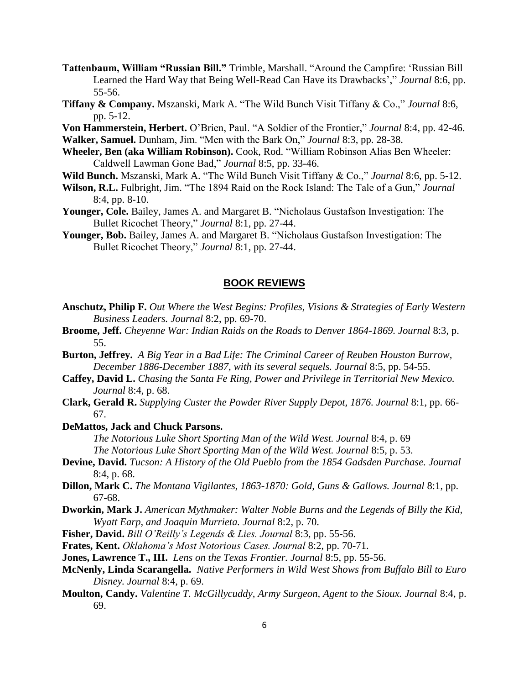- **Tattenbaum, William "Russian Bill."** Trimble, Marshall. "Around the Campfire: 'Russian Bill Learned the Hard Way that Being Well-Read Can Have its Drawbacks'," *Journal* 8:6, pp. 55-56.
- **Tiffany & Company.** Mszanski, Mark A. "The Wild Bunch Visit Tiffany & Co.," *Journal* 8:6, pp. 5-12.

**Von Hammerstein, Herbert.** O'Brien, Paul. "A Soldier of the Frontier," *Journal* 8:4, pp. 42-46.

**Walker, Samuel.** Dunham, Jim. "Men with the Bark On," *Journal* 8:3, pp. 28-38.

- **Wheeler, Ben (aka William Robinson).** Cook, Rod. "William Robinson Alias Ben Wheeler: Caldwell Lawman Gone Bad," *Journal* 8:5, pp. 33-46.
- **Wild Bunch.** Mszanski, Mark A. "The Wild Bunch Visit Tiffany & Co.," *Journal* 8:6, pp. 5-12.
- **Wilson, R.L.** Fulbright, Jim. "The 1894 Raid on the Rock Island: The Tale of a Gun," *Journal*  8:4, pp. 8-10.
- **Younger, Cole.** Bailey, James A. and Margaret B. "Nicholaus Gustafson Investigation: The Bullet Ricochet Theory," *Journal* 8:1, pp. 27-44.
- **Younger, Bob.** Bailey, James A. and Margaret B. "Nicholaus Gustafson Investigation: The Bullet Ricochet Theory," *Journal* 8:1, pp. 27-44.

#### **BOOK REVIEWS**

- **Anschutz, Philip F.** *Out Where the West Begins: Profiles, Visions & Strategies of Early Western Business Leaders. Journal* 8:2, pp. 69-70.
- **Broome, Jeff.** *Cheyenne War: Indian Raids on the Roads to Denver 1864-1869. Journal* 8:3, p. 55.
- **Burton, Jeffrey.** *A Big Year in a Bad Life: The Criminal Career of Reuben Houston Burrow, December 1886-December 1887, with its several sequels. Journal* 8:5, pp. 54-55.
- **Caffey, David L.** *Chasing the Santa Fe Ring, Power and Privilege in Territorial New Mexico. Journal* 8:4, p. 68.
- **Clark, Gerald R.** *Supplying Custer the Powder River Supply Depot, 1876. Journal* 8:1, pp. 66- 67.
- **DeMattos, Jack and Chuck Parsons.**

*The Notorious Luke Short Sporting Man of the Wild West. Journal* 8:4, p. 69 *The Notorious Luke Short Sporting Man of the Wild West. Journal* 8:5, p. 53.

- **Devine, David.** *Tucson: A History of the Old Pueblo from the 1854 Gadsden Purchase. Journal*  8:4, p. 68.
- **Dillon, Mark C.** *The Montana Vigilantes, 1863-1870: Gold, Guns & Gallows. Journal* 8:1, pp. 67-68.
- **Dworkin, Mark J.** *American Mythmaker: Walter Noble Burns and the Legends of Billy the Kid, Wyatt Earp, and Joaquin Murrieta. Journal* 8:2, p. 70.
- **Fisher, David.** *Bill O'Reilly's Legends & Lies. Journal* 8:3, pp. 55-56.
- **Frates, Kent.** *Oklahoma's Most Notorious Cases. Journal* 8:2, pp. 70-71.
- **Jones, Lawrence T., III.** *Lens on the Texas Frontier. Journal* 8:5, pp. 55-56.
- **McNenly, Linda Scarangella.** *Native Performers in Wild West Shows from Buffalo Bill to Euro Disney. Journal* 8:4, p. 69.
- **Moulton, Candy.** *Valentine T. McGillycuddy, Army Surgeon, Agent to the Sioux. Journal* 8:4, p. 69.